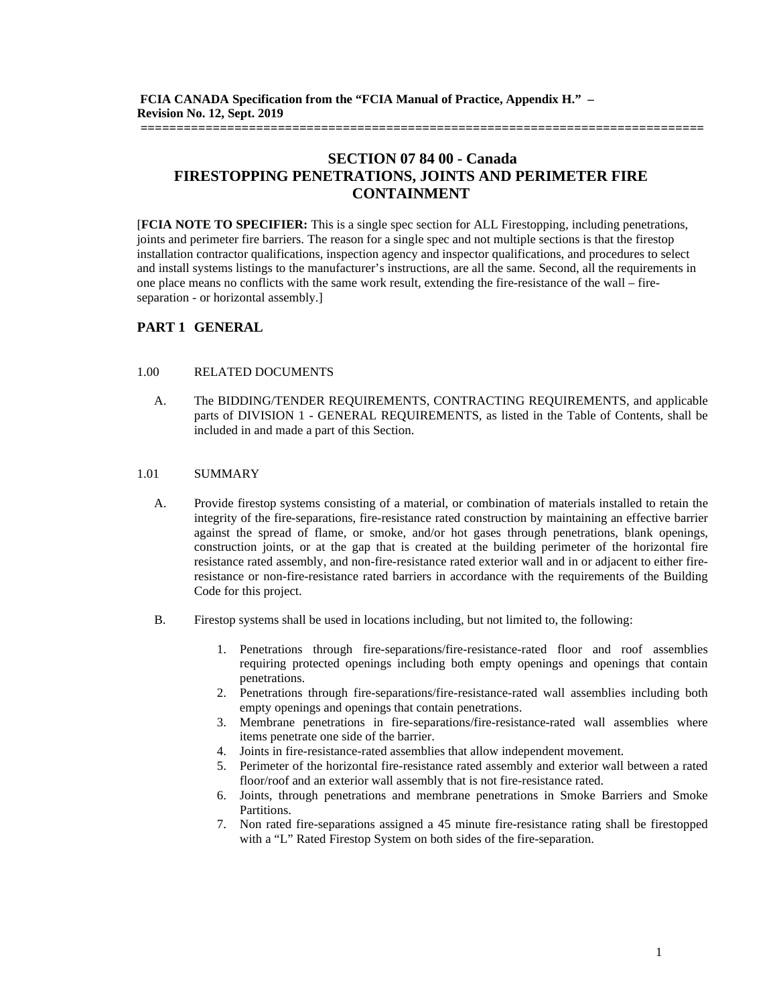# **SECTION 07 84 00 - Canada FIRESTOPPING PENETRATIONS, JOINTS AND PERIMETER FIRE CONTAINMENT**

**==============================================================================**

[**FCIA NOTE TO SPECIFIER:** This is a single spec section for ALL Firestopping, including penetrations, joints and perimeter fire barriers. The reason for a single spec and not multiple sections is that the firestop installation contractor qualifications, inspection agency and inspector qualifications, and procedures to select and install systems listings to the manufacturer's instructions, are all the same. Second, all the requirements in one place means no conflicts with the same work result, extending the fire-resistance of the wall – fireseparation - or horizontal assembly.]

## **PART 1 GENERAL**

### 1.00 RELATED DOCUMENTS

A. The BIDDING/TENDER REQUIREMENTS, CONTRACTING REQUIREMENTS, and applicable parts of DIVISION 1 - GENERAL REQUIREMENTS, as listed in the Table of Contents, shall be included in and made a part of this Section.

### 1.01 SUMMARY

- A. Provide firestop systems consisting of a material, or combination of materials installed to retain the integrity of the fire-separations, fire-resistance rated construction by maintaining an effective barrier against the spread of flame, or smoke, and/or hot gases through penetrations, blank openings, construction joints, or at the gap that is created at the building perimeter of the horizontal fire resistance rated assembly, and non-fire-resistance rated exterior wall and in or adjacent to either fireresistance or non-fire-resistance rated barriers in accordance with the requirements of the Building Code for this project.
- B. Firestop systems shall be used in locations including, but not limited to, the following:
	- 1. Penetrations through fire-separations/fire-resistance-rated floor and roof assemblies requiring protected openings including both empty openings and openings that contain penetrations.
	- 2. Penetrations through fire-separations/fire-resistance-rated wall assemblies including both empty openings and openings that contain penetrations.
	- 3. Membrane penetrations in fire-separations/fire-resistance-rated wall assemblies where items penetrate one side of the barrier.
	- 4. Joints in fire-resistance-rated assemblies that allow independent movement.
	- 5. Perimeter of the horizontal fire-resistance rated assembly and exterior wall between a rated floor/roof and an exterior wall assembly that is not fire-resistance rated.
	- 6. Joints, through penetrations and membrane penetrations in Smoke Barriers and Smoke Partitions.
	- 7. Non rated fire-separations assigned a 45 minute fire-resistance rating shall be firestopped with a "L" Rated Firestop System on both sides of the fire-separation.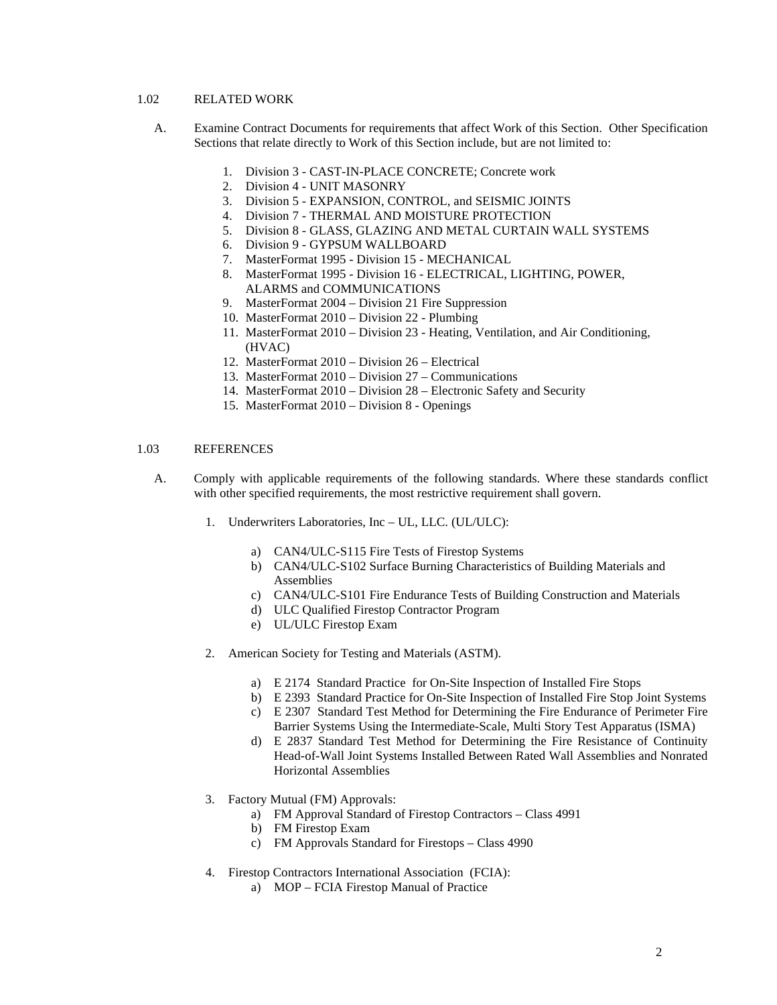### 1.02 RELATED WORK

- A. Examine Contract Documents for requirements that affect Work of this Section. Other Specification Sections that relate directly to Work of this Section include, but are not limited to:
	- 1. Division 3 CAST-IN-PLACE CONCRETE; Concrete work
	- 2. Division 4 UNIT MASONRY
	- 3. Division 5 EXPANSION, CONTROL, and SEISMIC JOINTS
	- 4. Division 7 THERMAL AND MOISTURE PROTECTION
	- 5. Division 8 GLASS, GLAZING AND METAL CURTAIN WALL SYSTEMS
	- 6. Division 9 GYPSUM WALLBOARD
	- 7. MasterFormat 1995 Division 15 MECHANICAL
	- 8. MasterFormat 1995 Division 16 ELECTRICAL, LIGHTING, POWER, ALARMS and COMMUNICATIONS
	- 9. MasterFormat 2004 Division 21 Fire Suppression
	- 10. MasterFormat 2010 Division 22 Plumbing
	- 11. MasterFormat 2010 Division 23 Heating, Ventilation, and Air Conditioning, (HVAC)
	- 12. MasterFormat 2010 Division 26 Electrical
	- 13. MasterFormat 2010 Division 27 Communications
	- 14. MasterFormat 2010 Division 28 Electronic Safety and Security
	- 15. MasterFormat 2010 Division 8 Openings

### 1.03 REFERENCES

- A. Comply with applicable requirements of the following standards. Where these standards conflict with other specified requirements, the most restrictive requirement shall govern.
	- 1. Underwriters Laboratories, Inc UL, LLC. (UL/ULC):
		- a) CAN4/ULC-S115 Fire Tests of Firestop Systems
		- b) CAN4/ULC-S102 Surface Burning Characteristics of Building Materials and Assemblies
		- c) CAN4/ULC-S101 Fire Endurance Tests of Building Construction and Materials
		- d) ULC Qualified Firestop Contractor Program
		- e) UL/ULC Firestop Exam
	- 2. American Society for Testing and Materials (ASTM).
		- a) E 2174 Standard Practice for On-Site Inspection of Installed Fire Stops
		- b) E 2393 Standard Practice for On-Site Inspection of Installed Fire Stop Joint Systems
		- c) E 2307 Standard Test Method for Determining the Fire Endurance of Perimeter Fire Barrier Systems Using the Intermediate-Scale, Multi Story Test Apparatus (ISMA)
		- d) E 2837 Standard Test Method for Determining the Fire Resistance of Continuity Head-of-Wall Joint Systems Installed Between Rated Wall Assemblies and Nonrated Horizontal Assemblies
	- 3. Factory Mutual (FM) Approvals:
		- a) FM Approval Standard of Firestop Contractors Class 4991
		- b) FM Firestop Exam
		- c) FM Approvals Standard for Firestops Class 4990
	- 4. Firestop Contractors International Association (FCIA):
		- a) MOP FCIA Firestop Manual of Practice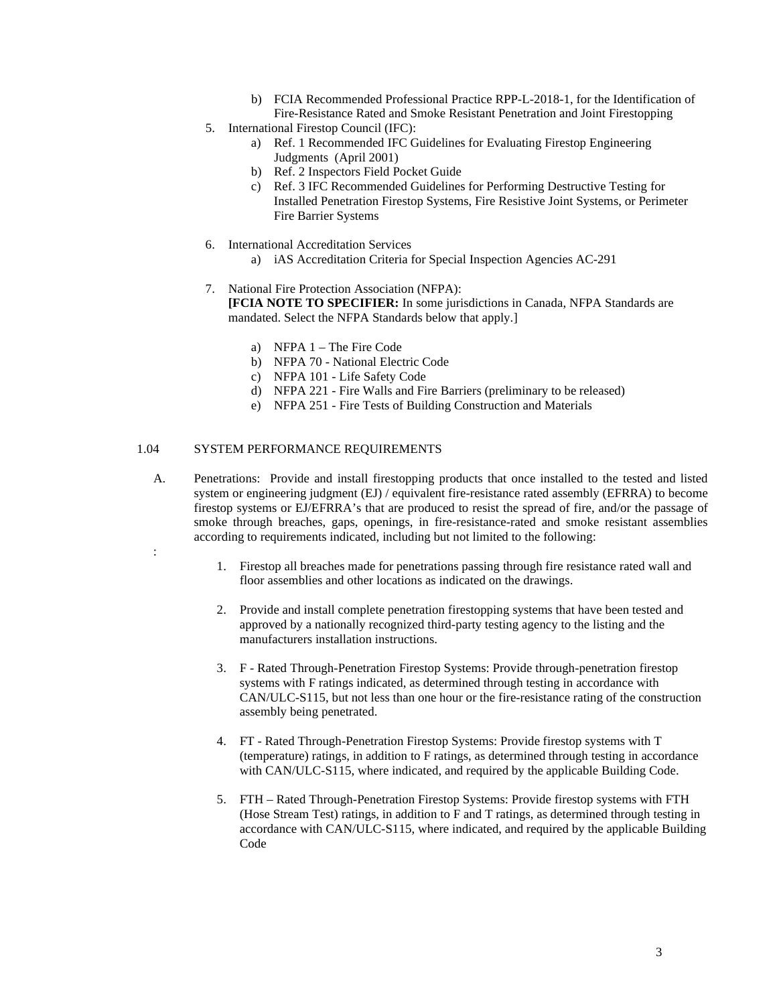- b) FCIA Recommended Professional Practice RPP-L-2018-1, for the Identification of Fire-Resistance Rated and Smoke Resistant Penetration and Joint Firestopping
- 5. International Firestop Council (IFC):
	- a) Ref. 1 Recommended IFC Guidelines for Evaluating Firestop Engineering Judgments (April 2001)
	- b) Ref. 2 Inspectors Field Pocket Guide
	- c) Ref. 3 IFC Recommended Guidelines for Performing Destructive Testing for Installed Penetration Firestop Systems, Fire Resistive Joint Systems, or Perimeter Fire Barrier Systems
- 6. International Accreditation Services
	- a) iAS Accreditation Criteria for Special Inspection Agencies AC-291
- 7. National Fire Protection Association (NFPA): **[FCIA NOTE TO SPECIFIER:** In some jurisdictions in Canada, NFPA Standards are mandated. Select the NFPA Standards below that apply.]
	- a) NFPA  $1$  The Fire Code
	- b) NFPA 70 National Electric Code
	- c) NFPA 101 Life Safety Code
	- d) NFPA 221 Fire Walls and Fire Barriers (preliminary to be released)
	- e) NFPA 251 Fire Tests of Building Construction and Materials

### 1.04 SYSTEM PERFORMANCE REQUIREMENTS

:

- A. Penetrations: Provide and install firestopping products that once installed to the tested and listed system or engineering judgment (EJ) / equivalent fire-resistance rated assembly (EFRRA) to become firestop systems or EJ/EFRRA's that are produced to resist the spread of fire, and/or the passage of smoke through breaches, gaps, openings, in fire-resistance-rated and smoke resistant assemblies according to requirements indicated, including but not limited to the following:
	- 1. Firestop all breaches made for penetrations passing through fire resistance rated wall and floor assemblies and other locations as indicated on the drawings.
	- 2. Provide and install complete penetration firestopping systems that have been tested and approved by a nationally recognized third-party testing agency to the listing and the manufacturers installation instructions.
	- 3. F Rated Through-Penetration Firestop Systems: Provide through-penetration firestop systems with F ratings indicated, as determined through testing in accordance with CAN/ULC-S115, but not less than one hour or the fire-resistance rating of the construction assembly being penetrated.
	- 4. FT Rated Through-Penetration Firestop Systems: Provide firestop systems with T (temperature) ratings, in addition to F ratings, as determined through testing in accordance with CAN/ULC-S115, where indicated, and required by the applicable Building Code.
	- 5. FTH Rated Through-Penetration Firestop Systems: Provide firestop systems with FTH (Hose Stream Test) ratings, in addition to F and T ratings, as determined through testing in accordance with CAN/ULC-S115, where indicated, and required by the applicable Building Code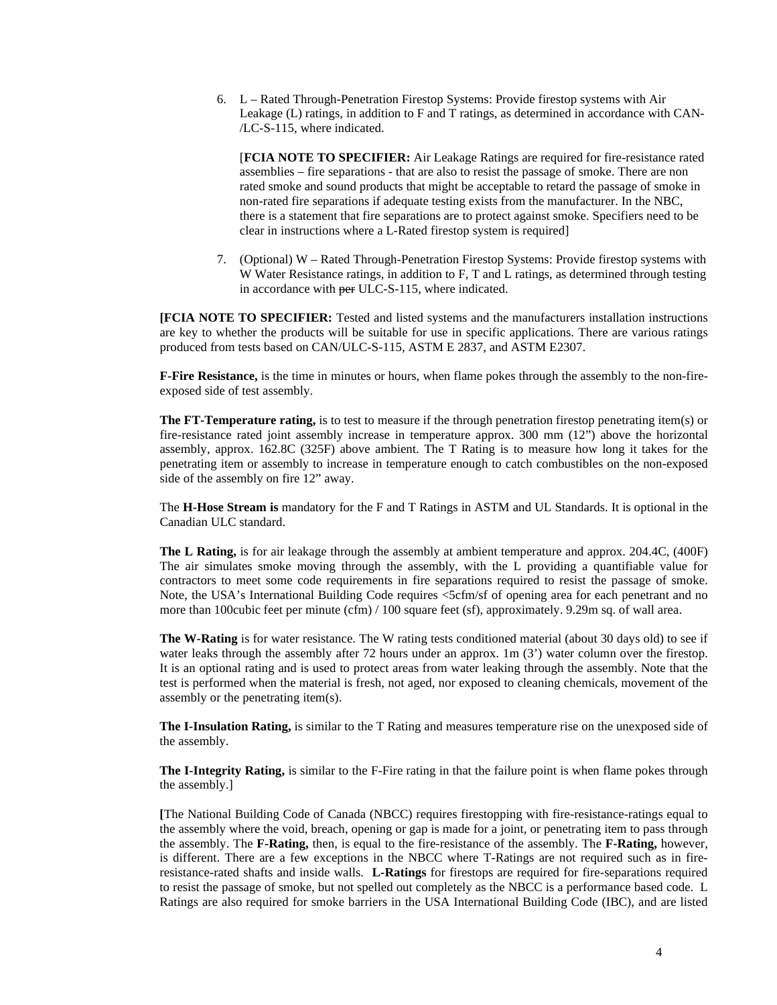6. L – Rated Through-Penetration Firestop Systems: Provide firestop systems with Air Leakage (L) ratings, in addition to F and T ratings, as determined in accordance with CAN- /LC-S-115, where indicated.

[**FCIA NOTE TO SPECIFIER:** Air Leakage Ratings are required for fire-resistance rated assemblies – fire separations - that are also to resist the passage of smoke. There are non rated smoke and sound products that might be acceptable to retard the passage of smoke in non-rated fire separations if adequate testing exists from the manufacturer. In the NBC, there is a statement that fire separations are to protect against smoke. Specifiers need to be clear in instructions where a L-Rated firestop system is required]

7. (Optional) W – Rated Through-Penetration Firestop Systems: Provide firestop systems with W Water Resistance ratings, in addition to F, T and L ratings, as determined through testing in accordance with per ULC-S-115, where indicated.

**[FCIA NOTE TO SPECIFIER:** Tested and listed systems and the manufacturers installation instructions are key to whether the products will be suitable for use in specific applications. There are various ratings produced from tests based on CAN/ULC-S-115, ASTM E 2837, and ASTM E2307.

**F-Fire Resistance,** is the time in minutes or hours, when flame pokes through the assembly to the non-fireexposed side of test assembly.

**The FT-Temperature rating,** is to test to measure if the through penetration firestop penetrating item(s) or fire-resistance rated joint assembly increase in temperature approx. 300 mm (12") above the horizontal assembly, approx. 162.8C (325F) above ambient. The T Rating is to measure how long it takes for the penetrating item or assembly to increase in temperature enough to catch combustibles on the non-exposed side of the assembly on fire 12" away.

The **H-Hose Stream is** mandatory for the F and T Ratings in ASTM and UL Standards. It is optional in the Canadian ULC standard.

**The L Rating,** is for air leakage through the assembly at ambient temperature and approx. 204.4C, (400F) The air simulates smoke moving through the assembly, with the L providing a quantifiable value for contractors to meet some code requirements in fire separations required to resist the passage of smoke. Note, the USA's International Building Code requires <5cfm/sf of opening area for each penetrant and no more than 100cubic feet per minute (cfm) / 100 square feet (sf), approximately. 9.29m sq. of wall area.

**The W-Rating** is for water resistance. The W rating tests conditioned material (about 30 days old) to see if water leaks through the assembly after 72 hours under an approx. 1m (3') water column over the firestop. It is an optional rating and is used to protect areas from water leaking through the assembly. Note that the test is performed when the material is fresh, not aged, nor exposed to cleaning chemicals, movement of the assembly or the penetrating item(s).

**The I-Insulation Rating,** is similar to the T Rating and measures temperature rise on the unexposed side of the assembly.

**The I-Integrity Rating,** is similar to the F-Fire rating in that the failure point is when flame pokes through the assembly.]

**[**The National Building Code of Canada (NBCC) requires firestopping with fire-resistance-ratings equal to the assembly where the void, breach, opening or gap is made for a joint, or penetrating item to pass through the assembly. The **F-Rating,** then, is equal to the fire-resistance of the assembly. The **F-Rating,** however, is different. There are a few exceptions in the NBCC where T-Ratings are not required such as in fireresistance-rated shafts and inside walls. **L-Ratings** for firestops are required for fire-separations required to resist the passage of smoke, but not spelled out completely as the NBCC is a performance based code. L Ratings are also required for smoke barriers in the USA International Building Code (IBC), and are listed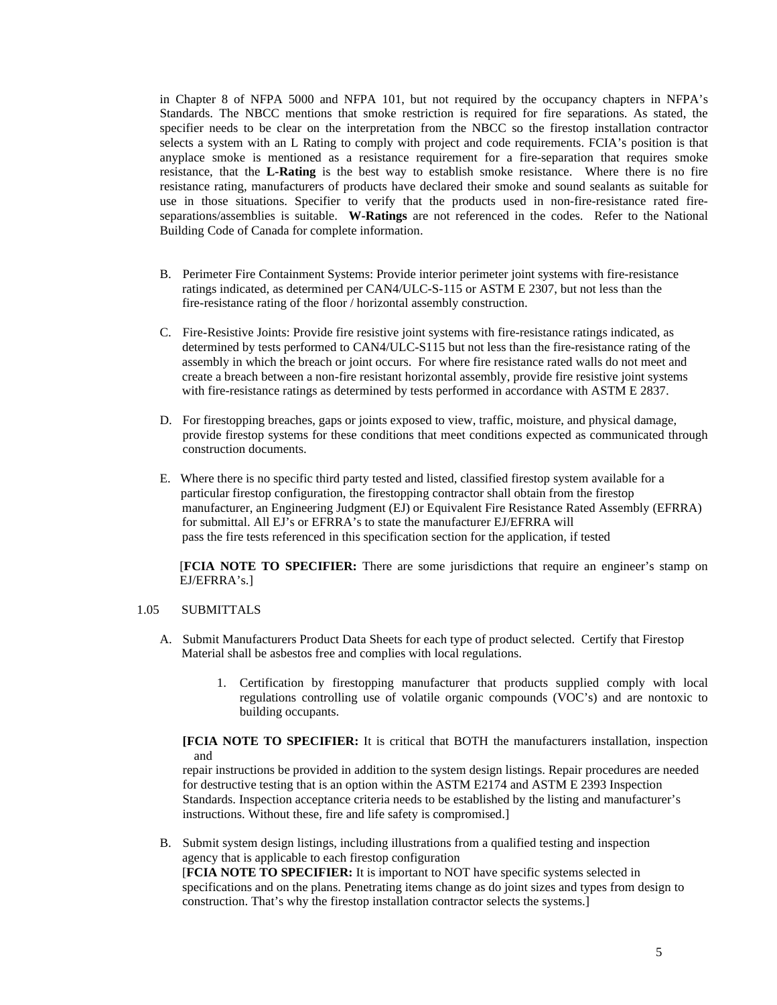in Chapter 8 of NFPA 5000 and NFPA 101, but not required by the occupancy chapters in NFPA's Standards. The NBCC mentions that smoke restriction is required for fire separations. As stated, the specifier needs to be clear on the interpretation from the NBCC so the firestop installation contractor selects a system with an L Rating to comply with project and code requirements. FCIA's position is that anyplace smoke is mentioned as a resistance requirement for a fire-separation that requires smoke resistance, that the **L-Rating** is the best way to establish smoke resistance. Where there is no fire resistance rating, manufacturers of products have declared their smoke and sound sealants as suitable for use in those situations. Specifier to verify that the products used in non-fire-resistance rated fireseparations/assemblies is suitable. **W-Ratings** are not referenced in the codes. Refer to the National Building Code of Canada for complete information.

- B. Perimeter Fire Containment Systems: Provide interior perimeter joint systems with fire-resistance ratings indicated, as determined per CAN4/ULC-S-115 or ASTM E 2307, but not less than the fire-resistance rating of the floor / horizontal assembly construction.
- C. Fire-Resistive Joints: Provide fire resistive joint systems with fire-resistance ratings indicated, as determined by tests performed to CAN4/ULC-S115 but not less than the fire-resistance rating of the assembly in which the breach or joint occurs. For where fire resistance rated walls do not meet and create a breach between a non-fire resistant horizontal assembly, provide fire resistive joint systems with fire-resistance ratings as determined by tests performed in accordance with ASTM E 2837.
- D. For firestopping breaches, gaps or joints exposed to view, traffic, moisture, and physical damage, provide firestop systems for these conditions that meet conditions expected as communicated through construction documents.
- E. Where there is no specific third party tested and listed, classified firestop system available for a particular firestop configuration, the firestopping contractor shall obtain from the firestop manufacturer, an Engineering Judgment (EJ) or Equivalent Fire Resistance Rated Assembly (EFRRA) for submittal. All EJ's or EFRRA's to state the manufacturer EJ/EFRRA will pass the fire tests referenced in this specification section for the application, if tested

[**FCIA NOTE TO SPECIFIER:** There are some jurisdictions that require an engineer's stamp on EJ/EFRRA's.]

#### 1.05 SUBMITTALS

- A. Submit Manufacturers Product Data Sheets for each type of product selected. Certify that Firestop Material shall be asbestos free and complies with local regulations.
	- 1. Certification by firestopping manufacturer that products supplied comply with local regulations controlling use of volatile organic compounds (VOC's) and are nontoxic to building occupants.

**[FCIA NOTE TO SPECIFIER:** It is critical that BOTH the manufacturers installation, inspection and

repair instructions be provided in addition to the system design listings. Repair procedures are needed for destructive testing that is an option within the ASTM E2174 and ASTM E 2393 Inspection Standards. Inspection acceptance criteria needs to be established by the listing and manufacturer's instructions. Without these, fire and life safety is compromised.]

B. Submit system design listings, including illustrations from a qualified testing and inspection agency that is applicable to each firestop configuration

 [**FCIA NOTE TO SPECIFIER:** It is important to NOT have specific systems selected in specifications and on the plans. Penetrating items change as do joint sizes and types from design to construction. That's why the firestop installation contractor selects the systems.]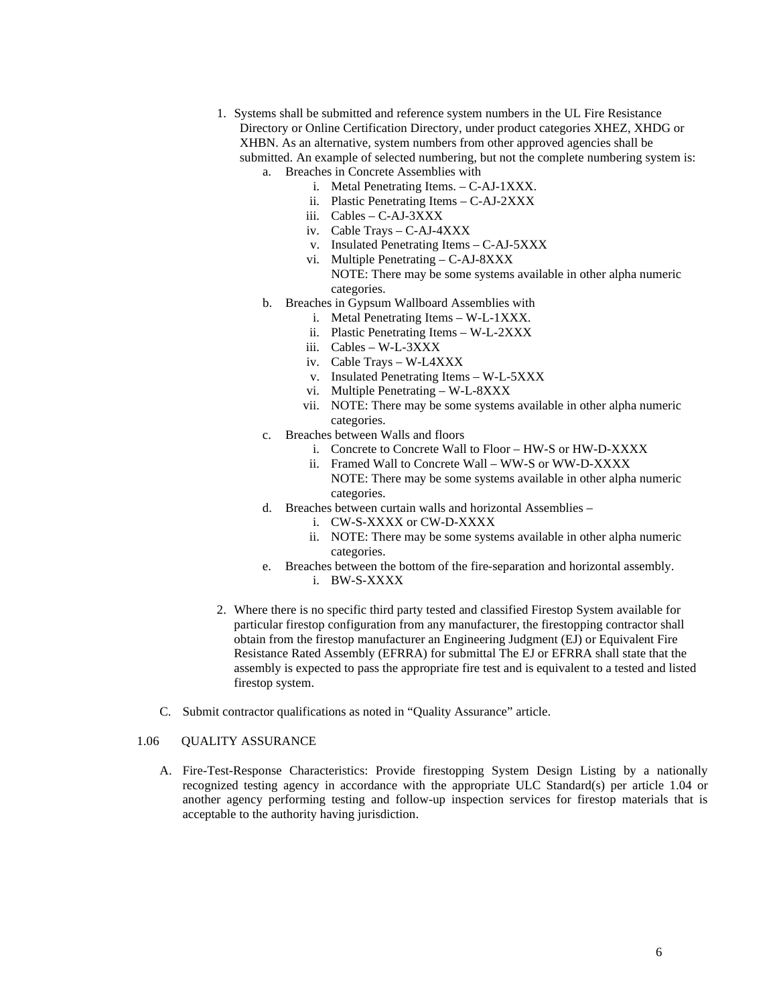- 1. Systems shall be submitted and reference system numbers in the UL Fire Resistance Directory or Online Certification Directory, under product categories XHEZ, XHDG or XHBN. As an alternative, system numbers from other approved agencies shall be submitted. An example of selected numbering, but not the complete numbering system is: a. Breaches in Concrete Assemblies with
	- i. Metal Penetrating Items. C-AJ-1XXX.
	- ii. Plastic Penetrating Items C-AJ-2XXX
	- iii. Cables C-AJ-3XXX
	- iv. Cable Trays C-AJ-4XXX
	- v. Insulated Penetrating Items C-AJ-5XXX
	- vi. Multiple Penetrating C-AJ-8XXX NOTE: There may be some systems available in other alpha numeric categories.
	- b. Breaches in Gypsum Wallboard Assemblies with
		- i. Metal Penetrating Items W-L-1XXX.
		- ii. Plastic Penetrating Items W-L-2XXX
		- iii. Cables W-L-3XXX
		- iv. Cable Trays W-L4XXX
		- v. Insulated Penetrating Items W-L-5XXX
		- vi. Multiple Penetrating W-L-8XXX
		- vii. NOTE: There may be some systems available in other alpha numeric categories.
	- c. Breaches between Walls and floors
		- i. Concrete to Concrete Wall to Floor HW-S or HW-D-XXXX
		- ii. Framed Wall to Concrete Wall WW-S or WW-D-XXXX NOTE: There may be some systems available in other alpha numeric categories.
	- d. Breaches between curtain walls and horizontal Assemblies
		- i. CW-S-XXXX or CW-D-XXXX
		- ii. NOTE: There may be some systems available in other alpha numeric categories.
	- e. Breaches between the bottom of the fire-separation and horizontal assembly. i. BW-S-XXXX
- 2. Where there is no specific third party tested and classified Firestop System available for particular firestop configuration from any manufacturer, the firestopping contractor shall obtain from the firestop manufacturer an Engineering Judgment (EJ) or Equivalent Fire Resistance Rated Assembly (EFRRA) for submittal The EJ or EFRRA shall state that the assembly is expected to pass the appropriate fire test and is equivalent to a tested and listed firestop system.
- C. Submit contractor qualifications as noted in "Quality Assurance" article.

### 1.06 QUALITY ASSURANCE

A. Fire-Test-Response Characteristics: Provide firestopping System Design Listing by a nationally recognized testing agency in accordance with the appropriate ULC Standard(s) per article 1.04 or another agency performing testing and follow-up inspection services for firestop materials that is acceptable to the authority having jurisdiction.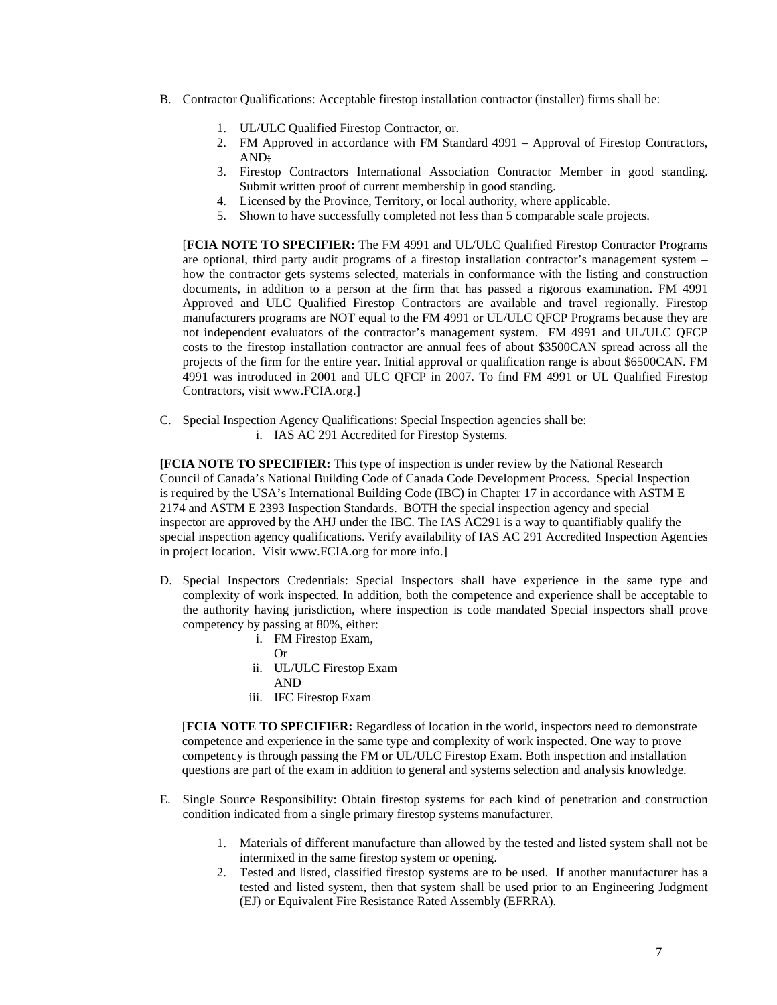- B. Contractor Qualifications: Acceptable firestop installation contractor (installer) firms shall be:
	- 1. UL/ULC Qualified Firestop Contractor, or.
	- 2. FM Approved in accordance with FM Standard 4991 Approval of Firestop Contractors, AND;
	- 3. Firestop Contractors International Association Contractor Member in good standing. Submit written proof of current membership in good standing.
	- 4. Licensed by the Province, Territory, or local authority, where applicable.
	- 5. Shown to have successfully completed not less than 5 comparable scale projects.

[**FCIA NOTE TO SPECIFIER:** The FM 4991 and UL/ULC Qualified Firestop Contractor Programs are optional, third party audit programs of a firestop installation contractor's management system – how the contractor gets systems selected, materials in conformance with the listing and construction documents, in addition to a person at the firm that has passed a rigorous examination. FM 4991 Approved and ULC Qualified Firestop Contractors are available and travel regionally. Firestop manufacturers programs are NOT equal to the FM 4991 or UL/ULC QFCP Programs because they are not independent evaluators of the contractor's management system. FM 4991 and UL/ULC QFCP costs to the firestop installation contractor are annual fees of about \$3500CAN spread across all the projects of the firm for the entire year. Initial approval or qualification range is about \$6500CAN. FM 4991 was introduced in 2001 and ULC QFCP in 2007. To find FM 4991 or UL Qualified Firestop Contractors, visit [www.FCIA.org.](http://www.fcia.org/)]

C. Special Inspection Agency Qualifications: Special Inspection agencies shall be: i. IAS AC 291 Accredited for Firestop Systems.

**[FCIA NOTE TO SPECIFIER:** This type of inspection is under review by the National Research Council of Canada's National Building Code of Canada Code Development Process. Special Inspection is required by the USA's International Building Code (IBC) in Chapter 17 in accordance with ASTM E 2174 and ASTM E 2393 Inspection Standards. BOTH the special inspection agency and special inspector are approved by the AHJ under the IBC. The IAS AC291 is a way to quantifiably qualify the special inspection agency qualifications. Verify availability of IAS AC 291 Accredited Inspection Agencies in project location. Visit [www.FCIA.org](http://www.fcia.org/) for more info.]

- D. Special Inspectors Credentials: Special Inspectors shall have experience in the same type and complexity of work inspected. In addition, both the competence and experience shall be acceptable to the authority having jurisdiction, where inspection is code mandated Special inspectors shall prove competency by passing at 80%, either:
	- i. FM Firestop Exam,
		- Or
	- ii. UL/ULC Firestop Exam
		- AND
	- iii. IFC Firestop Exam

 [**FCIA NOTE TO SPECIFIER:** Regardless of location in the world, inspectors need to demonstrate competence and experience in the same type and complexity of work inspected. One way to prove competency is through passing the FM or UL/ULC Firestop Exam. Both inspection and installation questions are part of the exam in addition to general and systems selection and analysis knowledge.

- E. Single Source Responsibility: Obtain firestop systems for each kind of penetration and construction condition indicated from a single primary firestop systems manufacturer.
	- 1. Materials of different manufacture than allowed by the tested and listed system shall not be intermixed in the same firestop system or opening.
	- 2. Tested and listed, classified firestop systems are to be used. If another manufacturer has a tested and listed system, then that system shall be used prior to an Engineering Judgment (EJ) or Equivalent Fire Resistance Rated Assembly (EFRRA).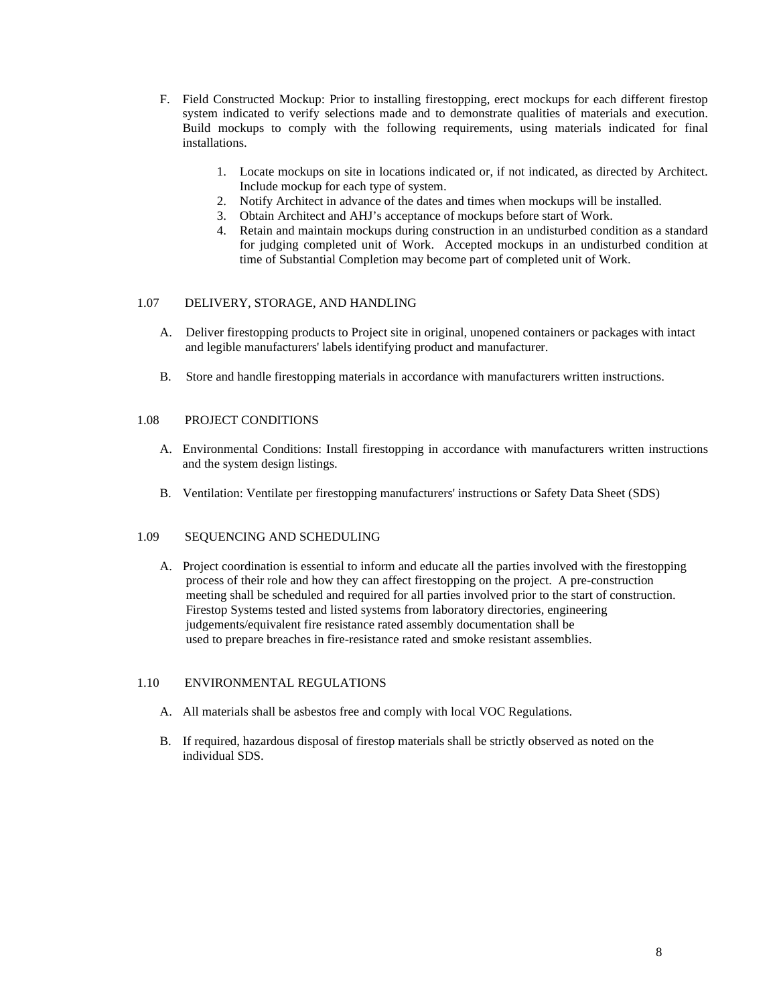- F. Field Constructed Mockup: Prior to installing firestopping, erect mockups for each different firestop system indicated to verify selections made and to demonstrate qualities of materials and execution. Build mockups to comply with the following requirements, using materials indicated for final installations.
	- 1. Locate mockups on site in locations indicated or, if not indicated, as directed by Architect. Include mockup for each type of system.
	- 2. Notify Architect in advance of the dates and times when mockups will be installed.
	- 3. Obtain Architect and AHJ's acceptance of mockups before start of Work.
	- 4. Retain and maintain mockups during construction in an undisturbed condition as a standard for judging completed unit of Work. Accepted mockups in an undisturbed condition at time of Substantial Completion may become part of completed unit of Work.

### 1.07 DELIVERY, STORAGE, AND HANDLING

- A. Deliver firestopping products to Project site in original, unopened containers or packages with intact and legible manufacturers' labels identifying product and manufacturer.
- B. Store and handle firestopping materials in accordance with manufacturers written instructions.

### 1.08 PROJECT CONDITIONS

- A. Environmental Conditions: Install firestopping in accordance with manufacturers written instructions and the system design listings.
- B. Ventilation: Ventilate per firestopping manufacturers' instructions or Safety Data Sheet (SDS)

### 1.09 SEQUENCING AND SCHEDULING

A. Project coordination is essential to inform and educate all the parties involved with the firestopping process of their role and how they can affect firestopping on the project. A pre-construction meeting shall be scheduled and required for all parties involved prior to the start of construction. Firestop Systems tested and listed systems from laboratory directories, engineering judgements/equivalent fire resistance rated assembly documentation shall be used to prepare breaches in fire-resistance rated and smoke resistant assemblies.

#### 1.10 ENVIRONMENTAL REGULATIONS

- A. All materials shall be asbestos free and comply with local VOC Regulations.
- B. If required, hazardous disposal of firestop materials shall be strictly observed as noted on the individual SDS.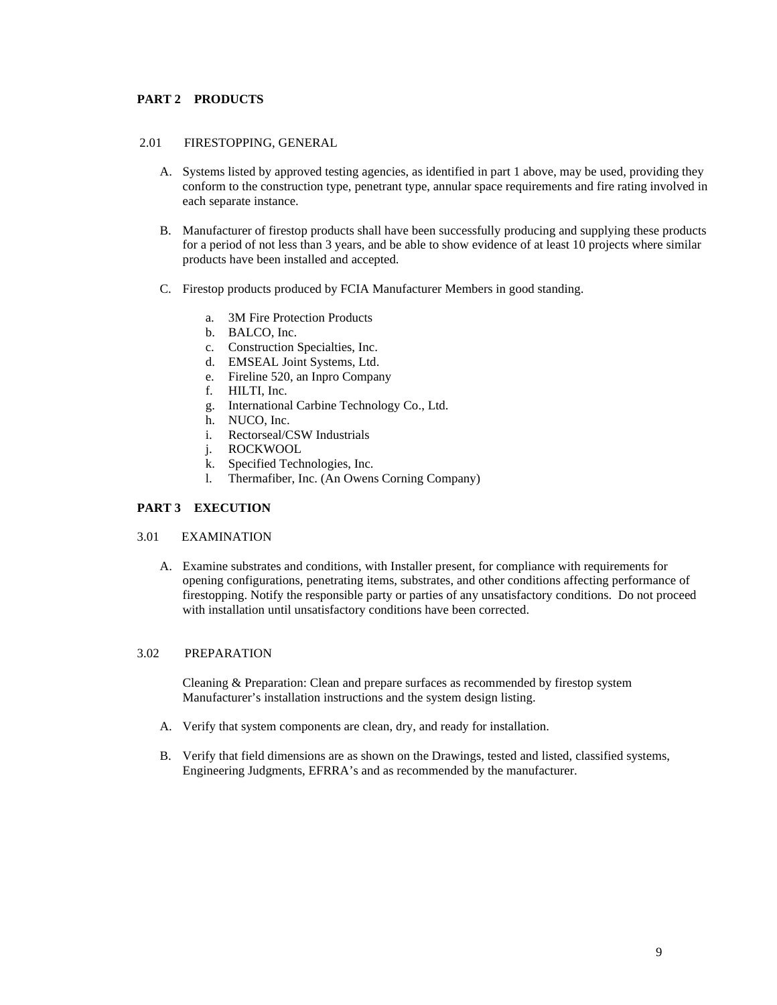### **PART 2 PRODUCTS**

### 2.01 FIRESTOPPING, GENERAL

- A. Systems listed by approved testing agencies, as identified in part 1 above, may be used, providing they conform to the construction type, penetrant type, annular space requirements and fire rating involved in each separate instance.
- B. Manufacturer of firestop products shall have been successfully producing and supplying these products for a period of not less than 3 years, and be able to show evidence of at least 10 projects where similar products have been installed and accepted.
- C. Firestop products produced by FCIA Manufacturer Members in good standing.
	- a. 3M Fire Protection Products
	- b. BALCO, Inc.
	- c. Construction Specialties, Inc.
	- d. EMSEAL Joint Systems, Ltd.
	- e. Fireline 520, an Inpro Company
	- f. HILTI, Inc.
	- g. International Carbine Technology Co., Ltd.
	- h. NUCO, Inc.
	- i. Rectorseal/CSW Industrials
	- j. ROCKWOOL
	- k. Specified Technologies, Inc.
	- l. Thermafiber, Inc. (An Owens Corning Company)

### **PART 3 EXECUTION**

### 3.01 EXAMINATION

A. Examine substrates and conditions, with Installer present, for compliance with requirements for opening configurations, penetrating items, substrates, and other conditions affecting performance of firestopping. Notify the responsible party or parties of any unsatisfactory conditions. Do not proceed with installation until unsatisfactory conditions have been corrected.

#### 3.02 PREPARATION

Cleaning & Preparation: Clean and prepare surfaces as recommended by firestop system Manufacturer's installation instructions and the system design listing.

- A. Verify that system components are clean, dry, and ready for installation.
- B. Verify that field dimensions are as shown on the Drawings, tested and listed, classified systems, Engineering Judgments, EFRRA's and as recommended by the manufacturer.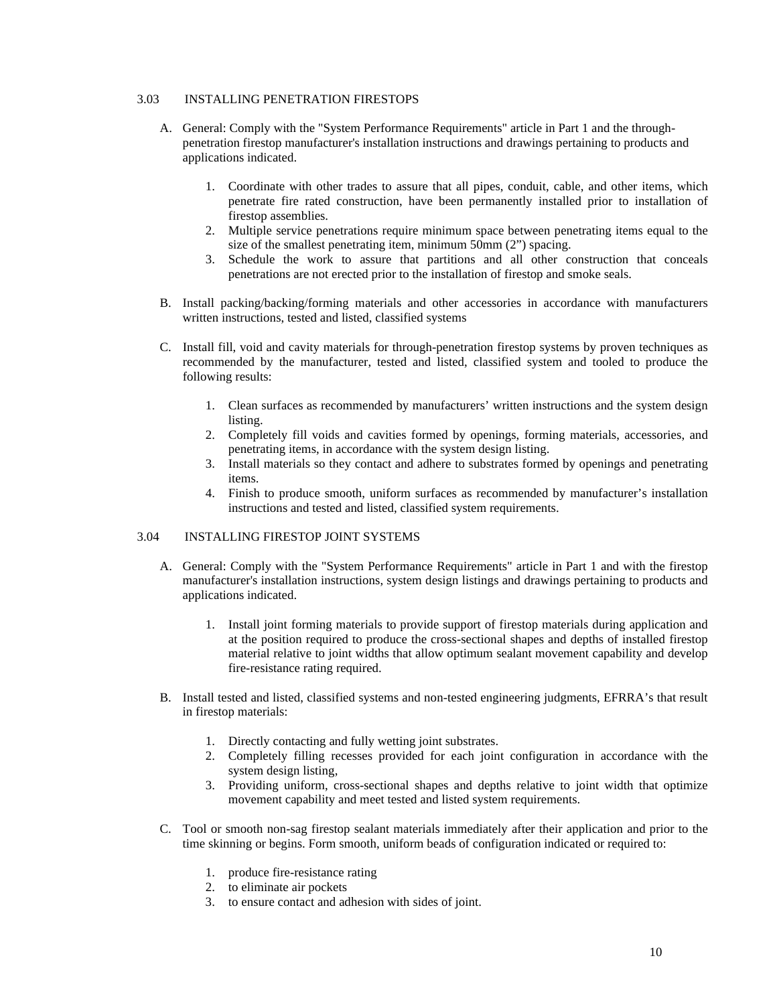### 3.03 INSTALLING PENETRATION FIRESTOPS

- A. General: Comply with the "System Performance Requirements" article in Part 1 and the throughpenetration firestop manufacturer's installation instructions and drawings pertaining to products and applications indicated.
	- 1. Coordinate with other trades to assure that all pipes, conduit, cable, and other items, which penetrate fire rated construction, have been permanently installed prior to installation of firestop assemblies.
	- 2. Multiple service penetrations require minimum space between penetrating items equal to the size of the smallest penetrating item, minimum 50mm (2") spacing.
	- 3. Schedule the work to assure that partitions and all other construction that conceals penetrations are not erected prior to the installation of firestop and smoke seals.
- B. Install packing/backing/forming materials and other accessories in accordance with manufacturers written instructions, tested and listed, classified systems
- C. Install fill, void and cavity materials for through-penetration firestop systems by proven techniques as recommended by the manufacturer, tested and listed, classified system and tooled to produce the following results:
	- 1. Clean surfaces as recommended by manufacturers' written instructions and the system design listing.
	- 2. Completely fill voids and cavities formed by openings, forming materials, accessories, and penetrating items, in accordance with the system design listing.
	- 3. Install materials so they contact and adhere to substrates formed by openings and penetrating items.
	- 4. Finish to produce smooth, uniform surfaces as recommended by manufacturer's installation instructions and tested and listed, classified system requirements.

### 3.04 INSTALLING FIRESTOP JOINT SYSTEMS

- A. General: Comply with the "System Performance Requirements" article in Part 1 and with the firestop manufacturer's installation instructions, system design listings and drawings pertaining to products and applications indicated.
	- 1. Install joint forming materials to provide support of firestop materials during application and at the position required to produce the cross-sectional shapes and depths of installed firestop material relative to joint widths that allow optimum sealant movement capability and develop fire-resistance rating required.
- B. Install tested and listed, classified systems and non-tested engineering judgments, EFRRA's that result in firestop materials:
	- 1. Directly contacting and fully wetting joint substrates.
	- 2. Completely filling recesses provided for each joint configuration in accordance with the system design listing,
	- 3. Providing uniform, cross-sectional shapes and depths relative to joint width that optimize movement capability and meet tested and listed system requirements.
- C. Tool or smooth non-sag firestop sealant materials immediately after their application and prior to the time skinning or begins. Form smooth, uniform beads of configuration indicated or required to:
	- 1. produce fire-resistance rating
	- 2. to eliminate air pockets
	- 3. to ensure contact and adhesion with sides of joint.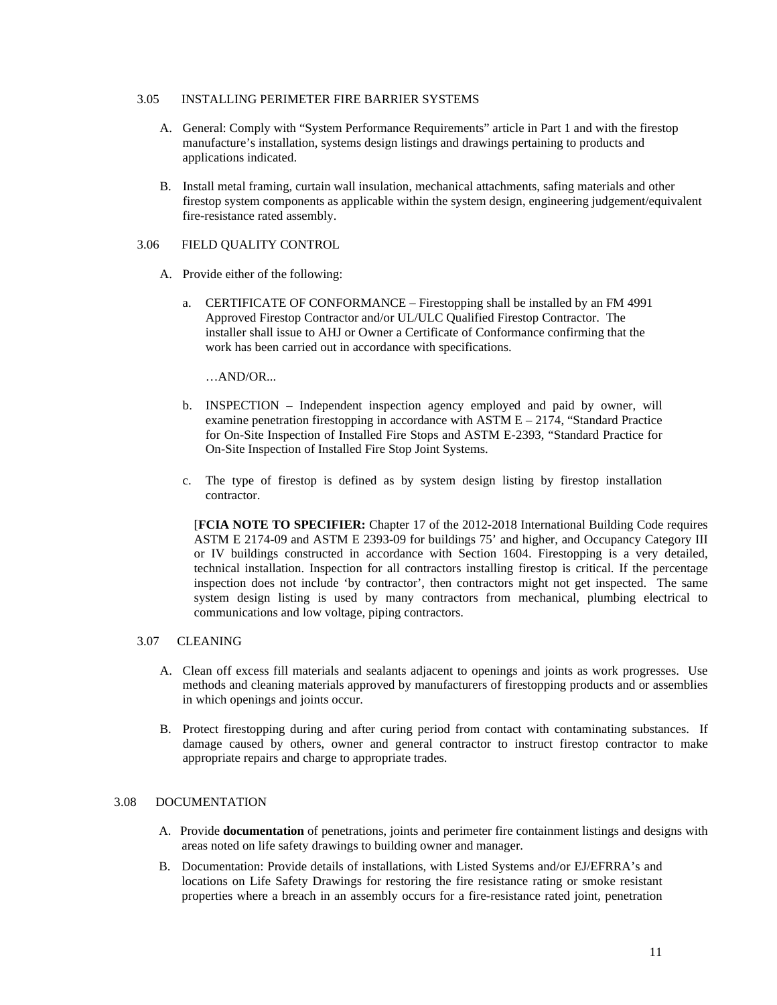### 3.05 INSTALLING PERIMETER FIRE BARRIER SYSTEMS

- A. General: Comply with "System Performance Requirements" article in Part 1 and with the firestop manufacture's installation, systems design listings and drawings pertaining to products and applications indicated.
- B. Install metal framing, curtain wall insulation, mechanical attachments, safing materials and other firestop system components as applicable within the system design, engineering judgement/equivalent fire-resistance rated assembly.

### 3.06 FIELD QUALITY CONTROL

- A. Provide either of the following:
	- a. CERTIFICATE OF CONFORMANCE Firestopping shall be installed by an FM 4991 Approved Firestop Contractor and/or UL/ULC Qualified Firestop Contractor. The installer shall issue to AHJ or Owner a Certificate of Conformance confirming that the work has been carried out in accordance with specifications.

…AND/OR...

- b. INSPECTION Independent inspection agency employed and paid by owner, will examine penetration firestopping in accordance with  $ASTM E - 2174$ , "Standard Practice for On-Site Inspection of Installed Fire Stops and ASTM E-2393, "Standard Practice for On-Site Inspection of Installed Fire Stop Joint Systems.
- c. The type of firestop is defined as by system design listing by firestop installation contractor.

[**FCIA NOTE TO SPECIFIER:** Chapter 17 of the 2012-2018 International Building Code requires ASTM E 2174-09 and ASTM E 2393-09 for buildings 75' and higher, and Occupancy Category III or IV buildings constructed in accordance with Section 1604. Firestopping is a very detailed, technical installation. Inspection for all contractors installing firestop is critical. If the percentage inspection does not include 'by contractor', then contractors might not get inspected. The same system design listing is used by many contractors from mechanical, plumbing electrical to communications and low voltage, piping contractors.

### 3.07 CLEANING

- A. Clean off excess fill materials and sealants adjacent to openings and joints as work progresses. Use methods and cleaning materials approved by manufacturers of firestopping products and or assemblies in which openings and joints occur.
- B. Protect firestopping during and after curing period from contact with contaminating substances. If damage caused by others, owner and general contractor to instruct firestop contractor to make appropriate repairs and charge to appropriate trades.

### 3.08 DOCUMENTATION

- A. Provide **documentation** of penetrations, joints and perimeter fire containment listings and designs with areas noted on life safety drawings to building owner and manager.
- B. Documentation: Provide details of installations, with Listed Systems and/or EJ/EFRRA's and locations on Life Safety Drawings for restoring the fire resistance rating or smoke resistant properties where a breach in an assembly occurs for a fire-resistance rated joint, penetration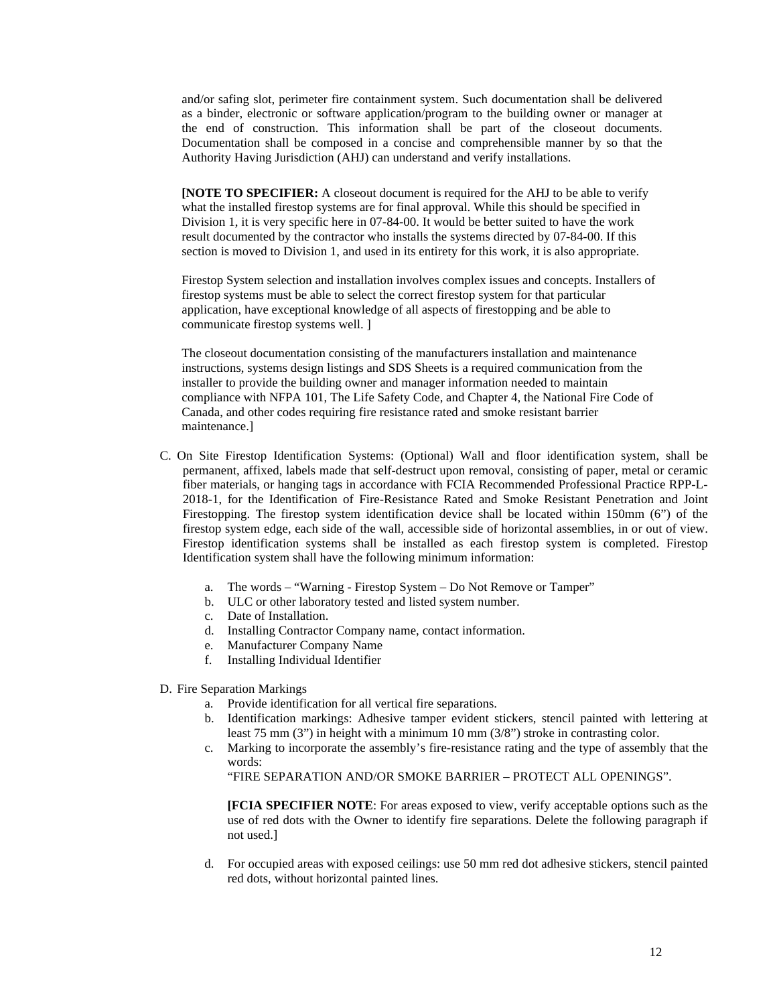and/or safing slot, perimeter fire containment system. Such documentation shall be delivered as a binder, electronic or software application/program to the building owner or manager at the end of construction. This information shall be part of the closeout documents. Documentation shall be composed in a concise and comprehensible manner by so that the Authority Having Jurisdiction (AHJ) can understand and verify installations.

**[NOTE TO SPECIFIER:** A closeout document is required for the AHJ to be able to verify what the installed firestop systems are for final approval. While this should be specified in Division 1, it is very specific here in 07-84-00. It would be better suited to have the work result documented by the contractor who installs the systems directed by 07-84-00. If this section is moved to Division 1, and used in its entirety for this work, it is also appropriate.

Firestop System selection and installation involves complex issues and concepts. Installers of firestop systems must be able to select the correct firestop system for that particular application, have exceptional knowledge of all aspects of firestopping and be able to communicate firestop systems well. ]

The closeout documentation consisting of the manufacturers installation and maintenance instructions, systems design listings and SDS Sheets is a required communication from the installer to provide the building owner and manager information needed to maintain compliance with NFPA 101, The Life Safety Code, and Chapter 4, the National Fire Code of Canada, and other codes requiring fire resistance rated and smoke resistant barrier maintenance.]

- C. On Site Firestop Identification Systems: (Optional) Wall and floor identification system, shall be permanent, affixed, labels made that self-destruct upon removal, consisting of paper, metal or ceramic fiber materials, or hanging tags in accordance with FCIA Recommended Professional Practice RPP-L-2018-1, for the Identification of Fire-Resistance Rated and Smoke Resistant Penetration and Joint Firestopping. The firestop system identification device shall be located within 150mm (6") of the firestop system edge, each side of the wall, accessible side of horizontal assemblies, in or out of view. Firestop identification systems shall be installed as each firestop system is completed. Firestop Identification system shall have the following minimum information:
	- a. The words "Warning Firestop System Do Not Remove or Tamper"
	- b. ULC or other laboratory tested and listed system number.
	- c. Date of Installation.
	- d. Installing Contractor Company name, contact information.
	- e. Manufacturer Company Name
	- f. Installing Individual Identifier
- D. Fire Separation Markings
	- a. Provide identification for all vertical fire separations.
	- b. Identification markings: Adhesive tamper evident stickers, stencil painted with lettering at least 75 mm (3") in height with a minimum 10 mm (3/8") stroke in contrasting color.
	- c. Marking to incorporate the assembly's fire-resistance rating and the type of assembly that the words:

"FIRE SEPARATION AND/OR SMOKE BARRIER – PROTECT ALL OPENINGS".

**[FCIA SPECIFIER NOTE**: For areas exposed to view, verify acceptable options such as the use of red dots with the Owner to identify fire separations. Delete the following paragraph if not used.]

d. For occupied areas with exposed ceilings: use 50 mm red dot adhesive stickers, stencil painted red dots, without horizontal painted lines.